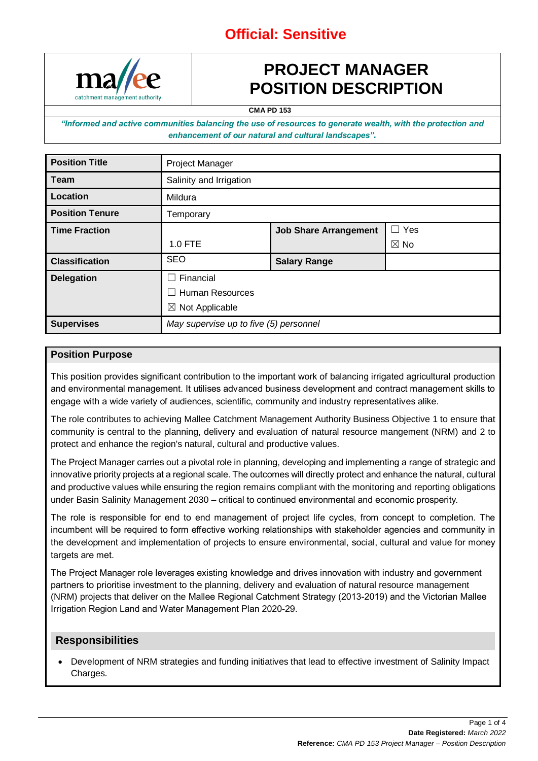## **Official: Sensitive**



## **PROJECT MANAGER POSITION DESCRIPTION**

**CMA PD 153**

*"Informed and active communities balancing the use of resources to generate wealth, with the protection and enhancement of our natural and cultural landscapes".*

| <b>Position Title</b>  | <b>Project Manager</b>                 |                              |                |
|------------------------|----------------------------------------|------------------------------|----------------|
| <b>Team</b>            | Salinity and Irrigation                |                              |                |
| Location               | Mildura                                |                              |                |
| <b>Position Tenure</b> | Temporary                              |                              |                |
| <b>Time Fraction</b>   |                                        | <b>Job Share Arrangement</b> | $\Box$ Yes     |
|                        | 1.0 FTE                                |                              | $\boxtimes$ No |
| <b>Classification</b>  | <b>SEO</b>                             | <b>Salary Range</b>          |                |
| <b>Delegation</b>      | Financial                              |                              |                |
|                        | <b>Human Resources</b><br>$\mathbf{I}$ |                              |                |
|                        | $\boxtimes$ Not Applicable             |                              |                |
| <b>Supervises</b>      | May supervise up to five (5) personnel |                              |                |

#### **Position Purpose**

This position provides significant contribution to the important work of balancing irrigated agricultural production and environmental management. It utilises advanced business development and contract management skills to engage with a wide variety of audiences, scientific, community and industry representatives alike.

The role contributes to achieving Mallee Catchment Management Authority Business Objective 1 to ensure that community is central to the planning, delivery and evaluation of natural resource mangement (NRM) and 2 to protect and enhance the region's natural, cultural and productive values.

The Project Manager carries out a pivotal role in planning, developing and implementing a range of strategic and innovative priority projects at a regional scale. The outcomes will directly protect and enhance the natural, cultural and productive values while ensuring the region remains compliant with the monitoring and reporting obligations under Basin Salinity Management 2030 – critical to continued environmental and economic prosperity.

The role is responsible for end to end management of project life cycles, from concept to completion. The incumbent will be required to form effective working relationships with stakeholder agencies and community in the development and implementation of projects to ensure environmental, social, cultural and value for money targets are met.

The Project Manager role leverages existing knowledge and drives innovation with industry and government partners to prioritise investment to the planning, delivery and evaluation of natural resource management (NRM) projects that deliver on the Mallee Regional Catchment Strategy (2013-2019) and the Victorian Mallee Irrigation Region Land and Water Management Plan 2020-29.

#### **Responsibilities**

• Development of NRM strategies and funding initiatives that lead to effective investment of Salinity Impact Charges.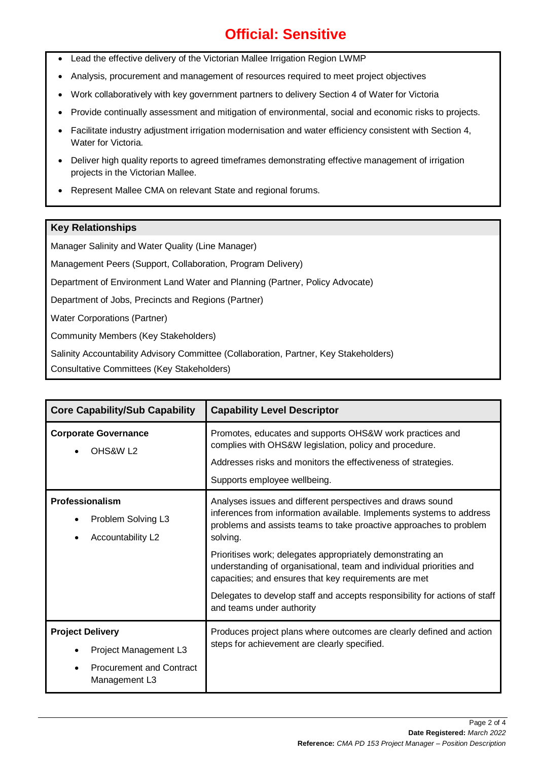## **Official: Sensitive**

- Lead the effective delivery of the Victorian Mallee Irrigation Region LWMP
- Analysis, procurement and management of resources required to meet project objectives
- Work collaboratively with key government partners to delivery Section 4 of Water for Victoria
- Provide continually assessment and mitigation of environmental, social and economic risks to projects.
- Facilitate industry adjustment irrigation modernisation and water efficiency consistent with Section 4, Water for Victoria.
- Deliver high quality reports to agreed timeframes demonstrating effective management of irrigation projects in the Victorian Mallee.
- Represent Mallee CMA on relevant State and regional forums.

### **Key Relationships**

Manager Salinity and Water Quality (Line Manager)

Management Peers (Support, Collaboration, Program Delivery)

Department of Environment Land Water and Planning (Partner, Policy Advocate)

Department of Jobs, Precincts and Regions (Partner)

Water Corporations (Partner)

Community Members (Key Stakeholders)

Salinity Accountability Advisory Committee (Collaboration, Partner, Key Stakeholders)

Consultative Committees (Key Stakeholders)

| <b>Core Capability/Sub Capability</b>                                                                | <b>Capability Level Descriptor</b>                                                                                                                                                                                                                                                                                                                                                                                                                                                                                            |
|------------------------------------------------------------------------------------------------------|-------------------------------------------------------------------------------------------------------------------------------------------------------------------------------------------------------------------------------------------------------------------------------------------------------------------------------------------------------------------------------------------------------------------------------------------------------------------------------------------------------------------------------|
| <b>Corporate Governance</b><br>OHS&W L <sub>2</sub>                                                  | Promotes, educates and supports OHS&W work practices and<br>complies with OHS&W legislation, policy and procedure.<br>Addresses risks and monitors the effectiveness of strategies.<br>Supports employee wellbeing.                                                                                                                                                                                                                                                                                                           |
| Professionalism<br>Problem Solving L3<br>Accountability L2                                           | Analyses issues and different perspectives and draws sound<br>inferences from information available. Implements systems to address<br>problems and assists teams to take proactive approaches to problem<br>solving.<br>Prioritises work; delegates appropriately demonstrating an<br>understanding of organisational, team and individual priorities and<br>capacities; and ensures that key requirements are met<br>Delegates to develop staff and accepts responsibility for actions of staff<br>and teams under authority |
| <b>Project Delivery</b><br>Project Management L3<br><b>Procurement and Contract</b><br>Management L3 | Produces project plans where outcomes are clearly defined and action<br>steps for achievement are clearly specified.                                                                                                                                                                                                                                                                                                                                                                                                          |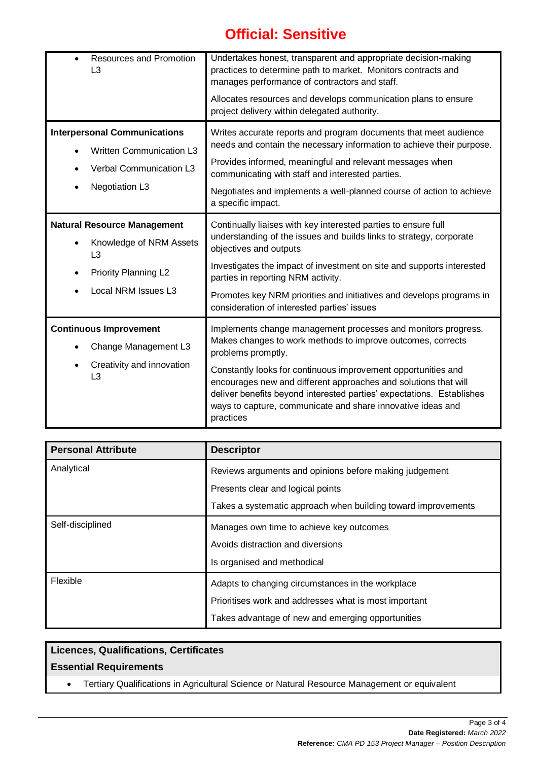# **Official: Sensitive**

| <b>Resources and Promotion</b><br>L3                                                                                       | Undertakes honest, transparent and appropriate decision-making<br>practices to determine path to market. Monitors contracts and<br>manages performance of contractors and staff.<br>Allocates resources and develops communication plans to ensure<br>project delivery within delegated authority.                                                                                                                                          |
|----------------------------------------------------------------------------------------------------------------------------|---------------------------------------------------------------------------------------------------------------------------------------------------------------------------------------------------------------------------------------------------------------------------------------------------------------------------------------------------------------------------------------------------------------------------------------------|
| <b>Interpersonal Communications</b><br><b>Written Communication L3</b><br>Verbal Communication L3<br><b>Negotiation L3</b> | Writes accurate reports and program documents that meet audience<br>needs and contain the necessary information to achieve their purpose.<br>Provides informed, meaningful and relevant messages when<br>communicating with staff and interested parties.<br>Negotiates and implements a well-planned course of action to achieve<br>a specific impact.                                                                                     |
| <b>Natural Resource Management</b><br>Knowledge of NRM Assets<br>L3<br><b>Priority Planning L2</b><br>Local NRM Issues L3  | Continually liaises with key interested parties to ensure full<br>understanding of the issues and builds links to strategy, corporate<br>objectives and outputs<br>Investigates the impact of investment on site and supports interested<br>parties in reporting NRM activity.<br>Promotes key NRM priorities and initiatives and develops programs in<br>consideration of interested parties' issues                                       |
| <b>Continuous Improvement</b><br>Change Management L3<br>Creativity and innovation<br>L <sub>3</sub>                       | Implements change management processes and monitors progress.<br>Makes changes to work methods to improve outcomes, corrects<br>problems promptly.<br>Constantly looks for continuous improvement opportunities and<br>encourages new and different approaches and solutions that will<br>deliver benefits beyond interested parties' expectations. Establishes<br>ways to capture, communicate and share innovative ideas and<br>practices |

| <b>Personal Attribute</b> | <b>Descriptor</b>                                                                           |  |
|---------------------------|---------------------------------------------------------------------------------------------|--|
| Analytical                | Reviews arguments and opinions before making judgement<br>Presents clear and logical points |  |
|                           |                                                                                             |  |
|                           | Takes a systematic approach when building toward improvements                               |  |
| Self-disciplined          | Manages own time to achieve key outcomes<br>Avoids distraction and diversions               |  |
|                           |                                                                                             |  |
|                           | Is organised and methodical                                                                 |  |
| Flexible                  | Adapts to changing circumstances in the workplace                                           |  |
|                           | Prioritises work and addresses what is most important                                       |  |
|                           | Takes advantage of new and emerging opportunities                                           |  |

### **Licences, Qualifications, Certificates**

### **Essential Requirements**

• Tertiary Qualifications in Agricultural Science or Natural Resource Management or equivalent